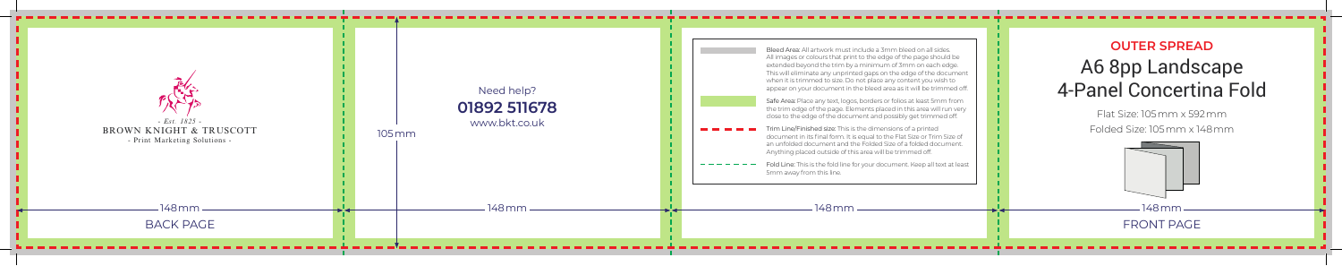FRONT PAGE

Bleed Area: All artwork must include a 3mm bleed on all sides. All images or colours that print to the edge of the page should be extended beyond the trim by a minimum of 3mm on each edge. This will eliminate any unprinted gaps on the edge of the document when it is trimmed to size. Do not place any content you wish to appear on your document in the bleed area as it will be trimmed off.

Safe Area: Place any text, logos, borders or folios at least 5mm from the trim edge of the page. Elements placed in this area will run very close to the edge of the document and possibly get trimmed off.

Trim Line/Finished size: This is the dimensions of a printed document in its final form. It is equal to the Flat Size or Trim Size of an unfolded document and the Folded Size of a folded document. Anything placed outside of this area will be trimmed off.

Fold Line: This is the fold line for your document. Keep all text at least 5mm away from this line.

## **OUTER SPREAD**



## A6 8pp Landscape 4-Panel Concertina Fold

Flat Size: 105mm x 592mm Folded Size: 105mm x 148mm